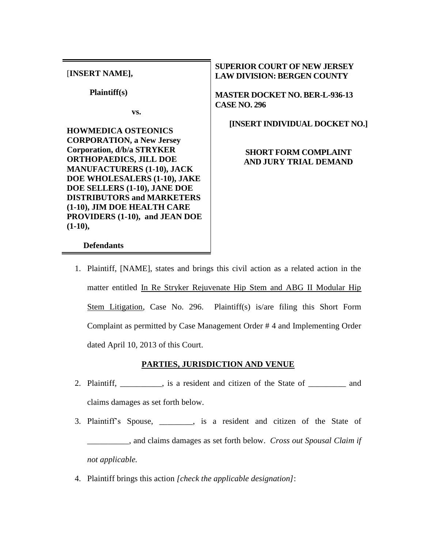[**INSERT NAME],**

 **Plaintiff(s)**

**vs.**

**HOWMEDICA OSTEONICS CORPORATION, a New Jersey Corporation, d/b/a STRYKER ORTHOPAEDICS, JILL DOE MANUFACTURERS (1-10), JACK DOE WHOLESALERS (1-10), JAKE DOE SELLERS (1-10), JANE DOE DISTRIBUTORS and MARKETERS (1-10), JIM DOE HEALTH CARE PROVIDERS (1-10), and JEAN DOE (1-10),**

## **SUPERIOR COURT OF NEW JERSEY LAW DIVISION: BERGEN COUNTY**

**MASTER DOCKET NO. BER-L-936-13 CASE NO. 296**

**[INSERT INDIVIDUAL DOCKET NO.]**

## **SHORT FORM COMPLAINT AND JURY TRIAL DEMAND**

#### **Defendants**

1. Plaintiff, [NAME], states and brings this civil action as a related action in the matter entitled In Re Stryker Rejuvenate Hip Stem and ABG II Modular Hip Stem Litigation, Case No. 296. Plaintiff(s) is/are filing this Short Form Complaint as permitted by Case Management Order # 4 and Implementing Order dated April 10, 2013 of this Court.

#### **PARTIES, JURISDICTION AND VENUE**

- 2. Plaintiff, \_\_\_\_\_\_\_\_\_\_, is a resident and citizen of the State of \_\_\_\_\_\_\_\_\_ and claims damages as set forth below.
- 3. Plaintiff's Spouse, \_\_\_\_\_\_\_\_, is a resident and citizen of the State of \_\_\_\_\_\_\_\_\_\_, and claims damages as set forth below. *Cross out Spousal Claim if not applicable.*
- 4. Plaintiff brings this action *[check the applicable designation]*: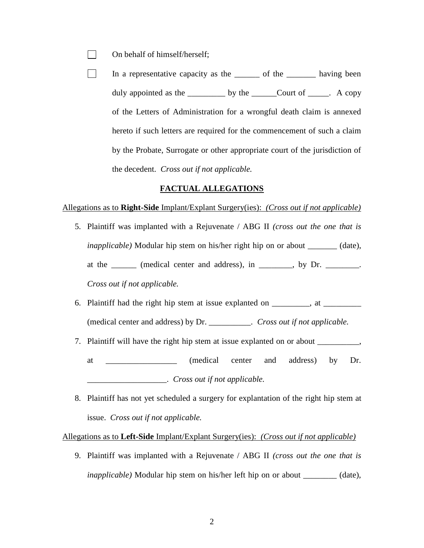- On behalf of himself/herself;  $\mathbf{L}$
- In a representative capacity as the \_\_\_\_\_\_\_ of the \_\_\_\_\_\_\_\_ having been  $\mathbf{L}$ duly appointed as the \_\_\_\_\_\_\_\_\_\_ by the \_\_\_\_\_\_Court of \_\_\_\_\_. A copy of the Letters of Administration for a wrongful death claim is annexed hereto if such letters are required for the commencement of such a claim by the Probate, Surrogate or other appropriate court of the jurisdiction of the decedent. *Cross out if not applicable.*

#### **FACTUAL ALLEGATIONS**

#### Allegations as to **Right-Side** Implant/Explant Surgery(ies): *(Cross out if not applicable)*

- 5. Plaintiff was implanted with a Rejuvenate / ABG II *(cross out the one that is inapplicable*) Modular hip stem on his/her right hip on or about \_\_\_\_\_\_\_ (date), at the \_\_\_\_\_\_ (medical center and address), in \_\_\_\_\_\_\_, by Dr. \_\_\_\_\_\_\_. *Cross out if not applicable.*
- 6. Plaintiff had the right hip stem at issue explanted on \_\_\_\_\_\_\_, at \_\_\_\_\_\_\_\_\_ (medical center and address) by Dr. \_\_\_\_\_\_\_\_\_\_. *Cross out if not applicable.*
- 7. Plaintiff will have the right hip stem at issue explanted on or about \_\_\_\_\_\_\_\_\_\_,
	- at \_\_\_\_\_\_\_\_\_\_\_\_\_\_\_\_\_ (medical center and address) by Dr. \_\_\_\_\_\_\_\_\_\_\_\_\_\_\_\_\_\_\_. *Cross out if not applicable.*
- 8. Plaintiff has not yet scheduled a surgery for explantation of the right hip stem at issue. *Cross out if not applicable.*

Allegations as to **Left-Side** Implant/Explant Surgery(ies): *(Cross out if not applicable)*

9. Plaintiff was implanted with a Rejuvenate / ABG II *(cross out the one that is inapplicable*) Modular hip stem on his/her left hip on or about \_\_\_\_\_\_\_\_ (date),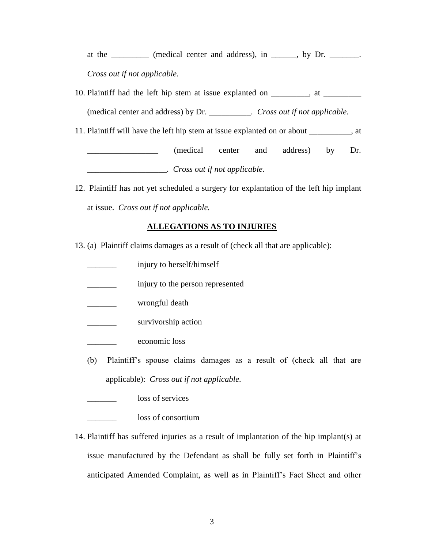at the \_\_\_\_\_\_\_ (medical center and address), in \_\_\_\_\_, by Dr. \_\_\_\_\_\_. *Cross out if not applicable.*

- 10. Plaintiff had the left hip stem at issue explanted on \_\_\_\_\_\_\_, at \_\_\_\_\_\_\_\_ (medical center and address) by Dr. \_\_\_\_\_\_\_\_\_\_. *Cross out if not applicable.*
- 11. Plaintiff will have the left hip stem at issue explanted on or about \_\_\_\_\_\_\_\_\_\_, at

\_\_\_\_\_\_\_\_\_\_\_\_\_\_\_\_\_ (medical center and address) by Dr. \_\_\_\_\_\_\_\_\_\_\_\_\_\_\_\_\_\_\_. *Cross out if not applicable.*

12. Plaintiff has not yet scheduled a surgery for explantation of the left hip implant at issue. *Cross out if not applicable.*

# **ALLEGATIONS AS TO INJURIES**

- 13. (a) Plaintiff claims damages as a result of (check all that are applicable):
	- \_\_\_\_\_\_\_ injury to herself/himself
	- $\frac{1}{2}$  injury to the person represented
	- wrongful death
	- survivorship action
	- \_\_\_\_\_\_\_ economic loss
	- (b) Plaintiff's spouse claims damages as a result of (check all that are applicable): *Cross out if not applicable.*
	- loss of services
	- loss of consortium
- 14. Plaintiff has suffered injuries as a result of implantation of the hip implant(s) at issue manufactured by the Defendant as shall be fully set forth in Plaintiff's anticipated Amended Complaint, as well as in Plaintiff's Fact Sheet and other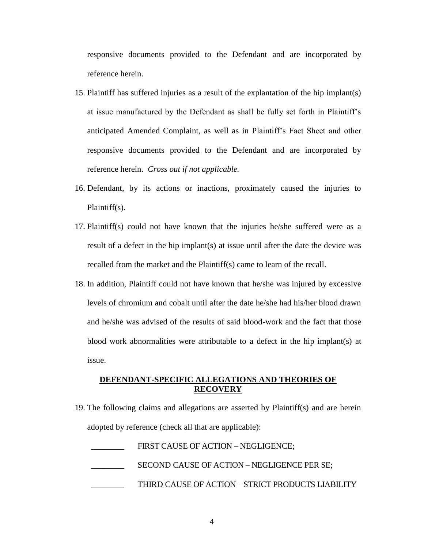responsive documents provided to the Defendant and are incorporated by reference herein.

- 15. Plaintiff has suffered injuries as a result of the explantation of the hip implant(s) at issue manufactured by the Defendant as shall be fully set forth in Plaintiff's anticipated Amended Complaint, as well as in Plaintiff's Fact Sheet and other responsive documents provided to the Defendant and are incorporated by reference herein. *Cross out if not applicable.*
- 16. Defendant, by its actions or inactions, proximately caused the injuries to Plaintiff(s).
- 17. Plaintiff(s) could not have known that the injuries he/she suffered were as a result of a defect in the hip implant(s) at issue until after the date the device was recalled from the market and the Plaintiff(s) came to learn of the recall.
- 18. In addition, Plaintiff could not have known that he/she was injured by excessive levels of chromium and cobalt until after the date he/she had his/her blood drawn and he/she was advised of the results of said blood-work and the fact that those blood work abnormalities were attributable to a defect in the hip implant(s) at issue.

#### **DEFENDANT-SPECIFIC ALLEGATIONS AND THEORIES OF RECOVERY**

- 19. The following claims and allegations are asserted by Plaintiff(s) and are herein adopted by reference (check all that are applicable):
	- FIRST CAUSE OF ACTION NEGLIGENCE;
	- SECOND CAUSE OF ACTION NEGLIGENCE PER SE;
	- THIRD CAUSE OF ACTION STRICT PRODUCTS LIABILITY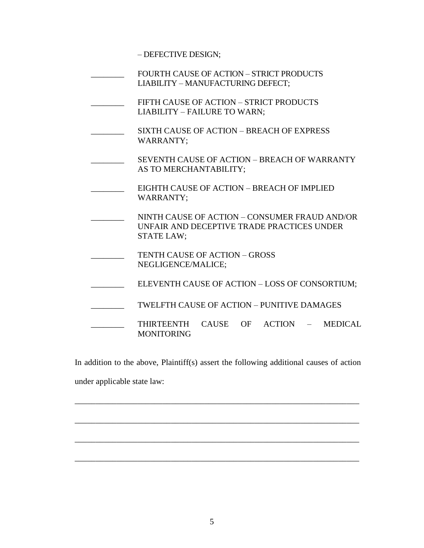– DEFECTIVE DESIGN;

- FOURTH CAUSE OF ACTION STRICT PRODUCTS LIABILITY – MANUFACTURING DEFECT;
- FIFTH CAUSE OF ACTION STRICT PRODUCTS LIABILITY – FAILURE TO WARN;
- SIXTH CAUSE OF ACTION BREACH OF EXPRESS WARRANTY;
- SEVENTH CAUSE OF ACTION BREACH OF WARRANTY AS TO MERCHANTABILITY;
- \_\_\_\_\_\_\_\_ EIGHTH CAUSE OF ACTION BREACH OF IMPLIED WARRANTY;
- NINTH CAUSE OF ACTION CONSUMER FRAUD AND/OR UNFAIR AND DECEPTIVE TRADE PRACTICES UNDER STATE LAW;
- TENTH CAUSE OF ACTION GROSS NEGLIGENCE/MALICE;
- ELEVENTH CAUSE OF ACTION LOSS OF CONSORTIUM;
	- TWELFTH CAUSE OF ACTION PUNITIVE DAMAGES
	- THIRTEENTH CAUSE OF ACTION MEDICAL MONITORING

In addition to the above, Plaintiff(s) assert the following additional causes of action under applicable state law:

\_\_\_\_\_\_\_\_\_\_\_\_\_\_\_\_\_\_\_\_\_\_\_\_\_\_\_\_\_\_\_\_\_\_\_\_\_\_\_\_\_\_\_\_\_\_\_\_\_\_\_\_\_\_\_\_\_\_\_\_\_\_\_\_\_\_\_\_

\_\_\_\_\_\_\_\_\_\_\_\_\_\_\_\_\_\_\_\_\_\_\_\_\_\_\_\_\_\_\_\_\_\_\_\_\_\_\_\_\_\_\_\_\_\_\_\_\_\_\_\_\_\_\_\_\_\_\_\_\_\_\_\_\_\_\_\_

\_\_\_\_\_\_\_\_\_\_\_\_\_\_\_\_\_\_\_\_\_\_\_\_\_\_\_\_\_\_\_\_\_\_\_\_\_\_\_\_\_\_\_\_\_\_\_\_\_\_\_\_\_\_\_\_\_\_\_\_\_\_\_\_\_\_\_\_

\_\_\_\_\_\_\_\_\_\_\_\_\_\_\_\_\_\_\_\_\_\_\_\_\_\_\_\_\_\_\_\_\_\_\_\_\_\_\_\_\_\_\_\_\_\_\_\_\_\_\_\_\_\_\_\_\_\_\_\_\_\_\_\_\_\_\_\_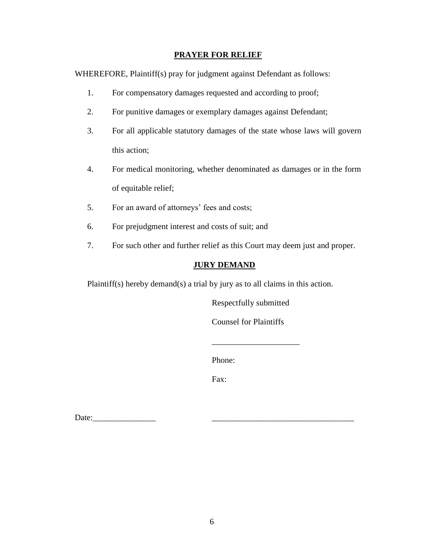#### **PRAYER FOR RELIEF**

WHEREFORE, Plaintiff(s) pray for judgment against Defendant as follows:

- 1. For compensatory damages requested and according to proof;
- 2. For punitive damages or exemplary damages against Defendant;
- 3. For all applicable statutory damages of the state whose laws will govern this action;
- 4. For medical monitoring, whether denominated as damages or in the form of equitable relief;
- 5. For an award of attorneys' fees and costs;
- 6. For prejudgment interest and costs of suit; and
- 7. For such other and further relief as this Court may deem just and proper.

# **JURY DEMAND**

Plaintiff(s) hereby demand(s) a trial by jury as to all claims in this action.

Respectfully submitted

Counsel for Plaintiffs

\_\_\_\_\_\_\_\_\_\_\_\_\_\_\_\_\_\_\_\_\_

Phone:

Fax:

Date:\_\_\_\_\_\_\_\_\_\_\_\_\_\_\_ \_\_\_\_\_\_\_\_\_\_\_\_\_\_\_\_\_\_\_\_\_\_\_\_\_\_\_\_\_\_\_\_\_\_